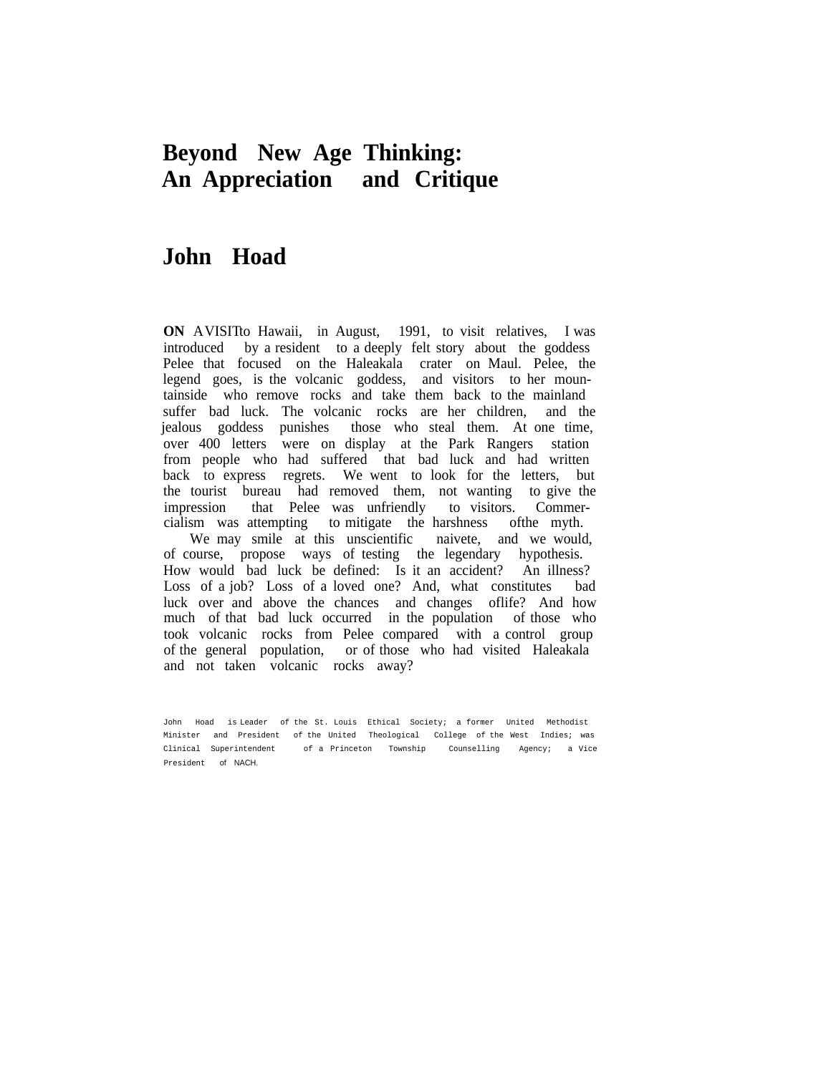# **Beyond New Age Thinking: An Appreciation and Critique**

# **John Hoad**

**ON** AVISITto Hawaii, in August, 1991, to visit relatives, I was introduced by a resident to a deeply felt story about the goddess Pelee that focused on the Haleakala crater on Maul. Pelee, the legend goes, is the volcanic goddess, and visitors to her mountainside who remove rocks and take them back to the mainland suffer bad luck. The volcanic rocks are her children, and the jealous goddess punishes those who steal them. At one time, over 400 letters were on display at the Park Rangers station from people who had suffered that bad luck and had written back to express regrets. We went to look for the letters, but the tourist bureau had removed them, not wanting to give the impression that Pelee was unfriendly to visitors. Commercialism was attempting to mitigate the harshness ofthe myth.

We may smile at this unscientific naivete, and we would, of course, propose ways of testing the legendary hypothesis. How would bad luck be defined: Is it an accident? An illness? Loss of a job? Loss of a loved one? And, what constitutes bad luck over and above the chances and changes oflife? And how much of that bad luck occurred in the population of those who took volcanic rocks from Pelee compared with a control group of the general population, or of those who had visited Haleakala and not taken volcanic rocks away?

John Hoad is Leader of the St. Louis Ethical Society; a former United Methodist Minister and President of the United Theological College of the West Indies; was Clinical Superintendent of a Princeton Township Counselling Agency; a Vice President of NACH.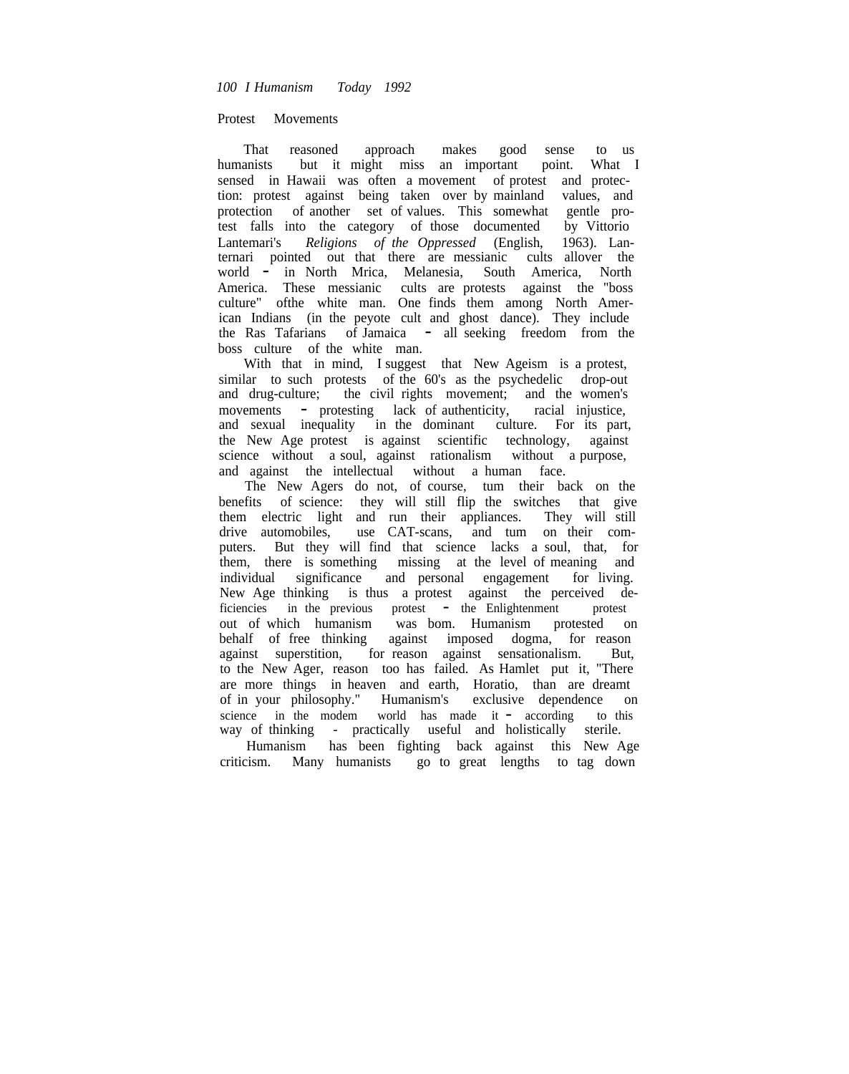Protest Movements

That reasoned approach makes good sense to us humanists but it might miss an important point. What I sensed in Hawaii was often a movement of protest and protection: protest against being taken over by mainland values, and protection of another set of values. This somewhat gentle protest falls into the category of those documented by Vittorio Lantemari's *Religions of the Oppressed* (English, 1963). Lanternari pointed out that there are messianic cults allover the world - in North Mrica, Melanesia, South America, North America. These messianic cults are protests against the "boss culture" ofthe white man. One finds them among North American Indians (in the peyote cult and ghost dance). They include the Ras Tafarians of Jamaica - all seeking freedom from the boss culture of the white man.

With that in mind, I suggest that New Ageism is a protest, similar to such protests of the 60's as the psychedelic drop-out and drug-culture; the civil rights movement; and the women's movements - protesting lack of authenticity, racial injustice, and sexual inequality in the dominant culture. For its part, the New Age protest is against scientific technology, against science without a soul, against rationalism without a purpose, and against the intellectual without a human face.

The New Agers do not, of course, tum their back on the benefits of science: they will still flip the switches that give them electric light and run their appliances. They will still drive automobiles, use CAT-scans, and tum on their computers. But they will find that science lacks a soul, that, for them, there is something missing at the level of meaning and individual significance and personal engagement for living. New Age thinking is thus a protest against the perceived deficiencies in the previous protest - the Enlightenment protest<br>out of which humanism was bom. Humanism protested on was bom. Humanism protested on behalf of free thinking against imposed dogma, for reason against superstition, for reason against sensationalism. But, to the New Ager, reason too has failed. As Hamlet put it, "There are more things in heaven and earth, Horatio, than are dreamt of in your philosophy." Humanism's exclusive dependence on science in the modem world has made it - according to this way of thinking - practically useful and holistically sterile.

Humanism has been fighting back against this New Age criticism. Many humanists go to great lengths to tag down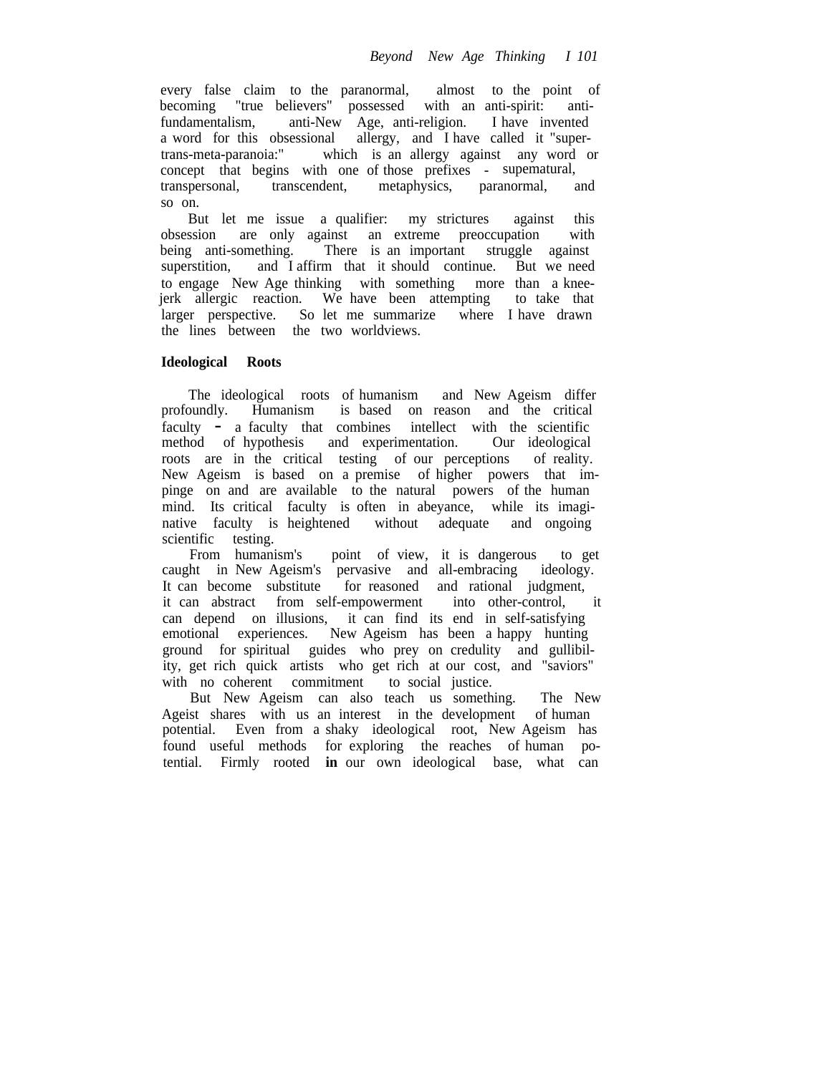every false claim to the paranormal, almost to the point of becoming "true believers" possessed with an anti-spirit: antifundamentalism, anti-New Age, anti-religion. I have invented a word for this obsessional allergy, and I have called it "supertrans-meta-paranoia:" which is an allergy against any word or concept that begins with one of those prefixes - supematural, transpersonal, transcendent, metaphysics, paranormal, and so on.

But let me issue a qualifier: my strictures against this obsession are only against an extreme preoccupation with being anti-something. There is an important struggle against There is an important struggle against superstition, and I affirm that it should continue. But we need to engage New Age thinking with something more than a kneejerk allergic reaction. We have been attempting to take that larger perspective. So let me summarize where I have drawn the lines between the two worldviews.

# **Ideological Roots**

The ideological roots of humanism and New Ageism differ profoundly. Humanism is based on reason and the critical faculty - a faculty that combines intellect with the scientific<br>method of hypothesis and experimentation. Our ideological method of hypothesis and experimentation. roots are in the critical testing of our perceptions of reality. New Ageism is based on a premise of higher powers that impinge on and are available to the natural powers of the human mind. Its critical faculty is often in abeyance, while its imaginative faculty is heightened without adequate and ongoing scientific testing.

From humanism's point of view, it is dangerous to get caught in New Ageism's pervasive and all-embracing ideology. It can become substitute for reasoned and rational judgment, it can abstract from self-empowerment into other-control, it can depend on illusions, it can find its end in self-satisfying emotional experiences. New Ageism has been a happy hunting ground for spiritual guides who prey on credulity and gullibility, get rich quick artists who get rich at our cost, and "saviors" with no coherent commitment to social justice.

But New Ageism can also teach us something. The New Ageist shares with us an interest in the development of human potential. Even from a shaky ideological root, New Ageism has found useful methods for exploring the reaches of human potential. Firmly rooted **in** our own ideological base, what can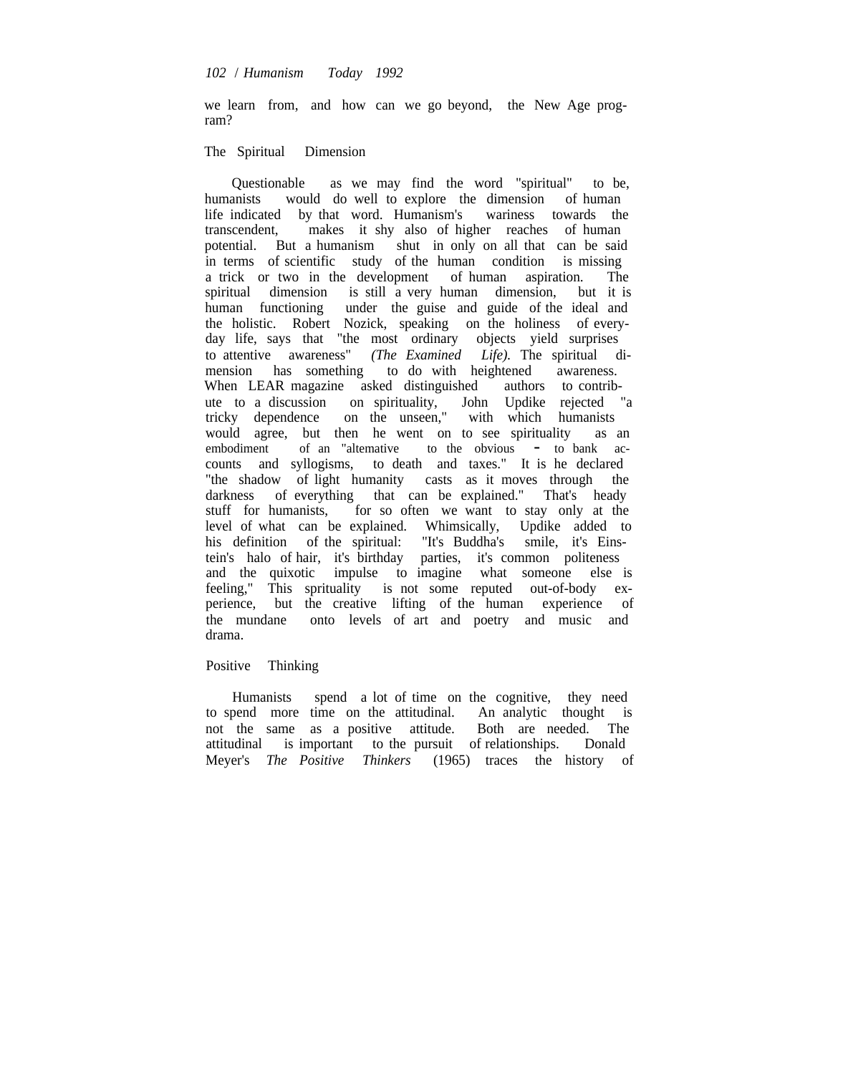we learn from, and how can we go beyond, the New Age program?

# The Spiritual Dimension

Questionable as we may find the word "spiritual" to be, humanists would do well to explore the dimension of human life indicated by that word. Humanism's wariness towards the transcendent, makes it shy also of higher reaches of human potential. But a humanism shut in only on all that can be said in terms of scientific study of the human condition is missing a trick or two in the development of human aspiration. The spiritual dimension is still a very human dimension, but it is human functioning under the guise and guide of the ideal and the holistic. Robert Nozick, speaking on the holiness of everyday life, says that "the most ordinary objects yield surprises to attentive awareness" *(The Examined Life).* The spiritual dimension has something to do with heightened awareness. When LEAR magazine asked distinguished authors to contribute to a discussion on spirituality, John Updike rejected "a tricky dependence on the unseen," with which humanists would agree, but then he went on to see spirituality as an embodiment of an "alternative to the obvious - to bank ac $embodiment$  of an "altemative to the obvious - to bank accounts and syllogisms, to death and taxes." It is he declared "the shadow of light humanity casts as it moves through the darkness of everything that can be explained." That's heady stuff for humanists, for so often we want to stay only at the level of what can be explained. Whimsically, Updike added to his definition of the spiritual: "It's Buddha's smile, it's Einstein's halo of hair, it's birthday parties, it's common politeness and the quixotic impulse to imagine what someone else is feeling," This sprituality is not some reputed out-of-body experience, but the creative lifting of the human experience of the mundane onto levels of art and poetry and music and drama.

### Positive Thinking

Humanists spend a lot of time on the cognitive, they need to spend more time on the attitudinal. An analytic thought is not the same as a positive attitude. Both are needed. The attitudinal is important to the pursuit of relationships. Donald Meyer's *The Positive Thinkers* (1965) traces the history of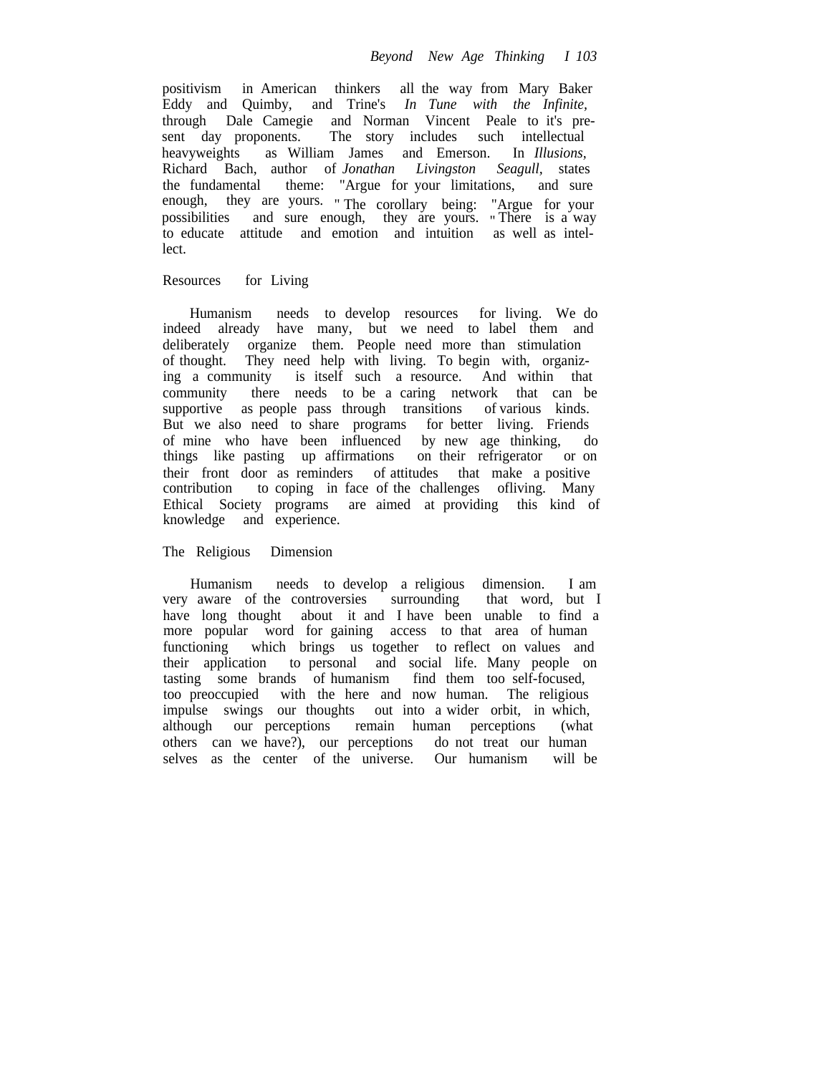positivism in American thinkers all the way from Mary Baker Eddy and Quimby, and Trine's *In Tune with the Infinite,* through Dale Camegie and Norman Vincent Peale to it's present day proponents. The story includes such intellectual heavyweights as William James and Emerson. In *Illusions,* Richard Bach, author of *Jonathan Livingston Seagull,* states the fundamental theme: "Argue for your limitations, and sure enough, they are yours. " The corollary being: "Argue for your possibilities and sure enough, they are yours. " There is a way to educate attitude and emotion and intuition as well as intellect.

# Resources for Living

Humanism needs to develop resources for living. We do indeed already have many, but we need to label them and deliberately organize them. People need more than stimulation of thought. They need help with living. To begin with, organizing a community is itself such a resource. And within that community there needs to be a caring network that can be supportive as people pass through transitions of various kinds. But we also need to share programs for better living. Friends of mine who have been influenced by new age thinking, do things like pasting up affirmations on their refrigerator or on their front door as reminders of attitudes that make a positive contribution to coping in face of the challenges of living. Many to coping in face of the challenges ofliving. Many Ethical Society programs are aimed at providing this kind of knowledge and experience.

# The Religious Dimension

Humanism needs to develop a religious dimension. I am very aware of the controversies surrounding that word, but I have long thought about it and I have been unable to find a more popular word for gaining access to that area of human functioning which brings us together to reflect on values and their application to personal and social life. Many people on tasting some brands of humanism find them too self-focused, too preoccupied with the here and now human. The religious impulse swings our thoughts out into a wider orbit, in which, although our perceptions remain human perceptions (what others can we have?), our perceptions do not treat our human selves as the center of the universe. Our humanism will be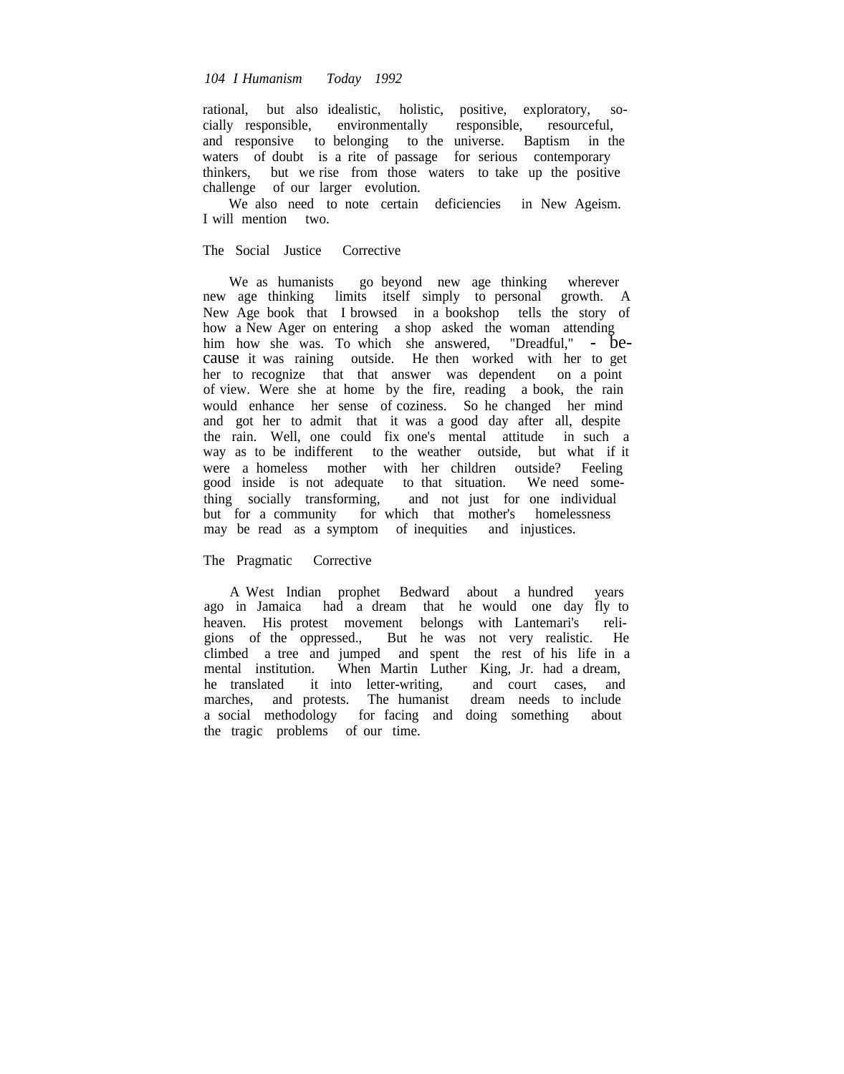# *104 I Humanism Today 1992*

rational, but also idealistic, holistic, positive, exploratory, socially responsible, environmentally responsible, resourceful, and responsive to belonging to the universe. Baptism in the waters of doubt is a rite of passage for serious contemporary thinkers, but we rise from those waters to take up the positive challenge of our larger evolution.

We also need to note certain deficiencies in New Ageism. I will mention two.

# The Social Justice Corrective

We as humanists go beyond new age thinking wherever new age thinking limits itself simply to personal growth. A New Age book that I browsed in a bookshop tells the story of how a New Ager on entering a shop asked the woman attending him how she was. To which she answered, "Dreadful," - because it was raining outside. He then worked with her to get her to recognize that that answer was dependent on a point of view. Were she at home by the fire, reading a book, the rain would enhance her sense of coziness. So he changed her mind and got her to admit that it was a good day after all, despite the rain. Well, one could fix one's mental attitude in such a way as to be indifferent to the weather outside, but what if it were a homeless mother with her children outside? Feeling good inside is not adequate to that situation. We need something socially transforming, and not just for one individual but for a community for which that mother's homelessness may be read as a symptom of inequities and injustices.

#### The Pragmatic Corrective

A West Indian prophet Bedward about a hundred years ago in Jamaica had a dream that he would one day fly to heaven. His protest movement belongs with Lantemari's religions of the oppressed., But he was not very realistic. He climbed a tree and jumped and spent the rest of his life in a mental institution. When Martin Luther King, Jr. had a dream, he translated it into letter-writing, and court cases, and he translated it into letter-writing, and court cases, and marches, and protests. The humanist dream needs to include a social methodology for facing and doing something about the tragic problems of our time.